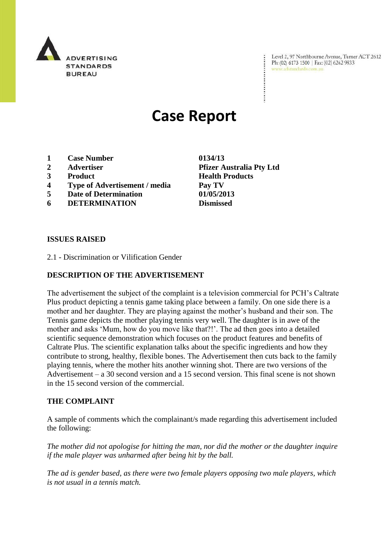

Level 2, 97 Northbourne Avenue, Turner ACT 2612 Ph: (02) 6173 1500 | Fax: (02) 6262 9833 www.adstandards.com.au

# **Case Report**

- **1 Case Number 0134/13**
- 
- 
- **4 Type of Advertisement / media Pay TV**
- **5 Date of Determination 01/05/2013**
- **6 DETERMINATION Dismissed**

## **ISSUES RAISED**

2.1 - Discrimination or Vilification Gender

## **DESCRIPTION OF THE ADVERTISEMENT**

The advertisement the subject of the complaint is a television commercial for PCH"s Caltrate Plus product depicting a tennis game taking place between a family. On one side there is a mother and her daughter. They are playing against the mother"s husband and their son. The Tennis game depicts the mother playing tennis very well. The daughter is in awe of the mother and asks 'Mum, how do you move like that?!'. The ad then goes into a detailed scientific sequence demonstration which focuses on the product features and benefits of Caltrate Plus. The scientific explanation talks about the specific ingredients and how they contribute to strong, healthy, flexible bones. The Advertisement then cuts back to the family playing tennis, where the mother hits another winning shot. There are two versions of the Advertisement – a 30 second version and a 15 second version. This final scene is not shown in the 15 second version of the commercial.

#### **THE COMPLAINT**

A sample of comments which the complainant/s made regarding this advertisement included the following:

*The mother did not apologise for hitting the man, nor did the mother or the daughter inquire if the male player was unharmed after being hit by the ball.*

*The ad is gender based, as there were two female players opposing two male players, which is not usual in a tennis match.*

**2 Advertiser Pfizer Australia Pty Ltd 3 Product Health Products**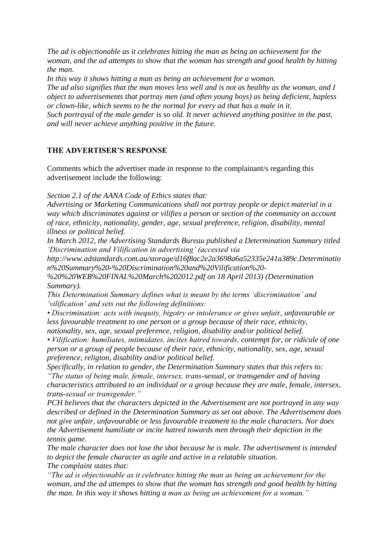*The ad is objectionable as it celebrates hitting the man as being an achievement for the woman, and the ad attempts to show that the woman has strength and good health by hitting the man.*

*In this way it shows hitting a man as being an achievement for a woman.*

*The ad also signifies that the man moves less well and is not as healthy as the woman, and I object to advertisements that portray men (and often young boys) as being deficient, hapless or clown-like, which seems to be the normal for every ad that has a male in it. Such portrayal of the male gender is so old. It never achieved anything positive in the past, and will never achieve anything positive in the future.*

# **THE ADVERTISER'S RESPONSE**

Comments which the advertiser made in response to the complainant/s regarding this advertisement include the following:

*Section 2.1 of the AANA Code of Ethics states that:*

*Advertising or Marketing Communications shall not portray people or depict material in a way which discriminates against or vilifies a person or section of the community on account of race, ethnicity, nationality, gender, age, sexual preference, religion, disability, mental illness or political belief.*

*In March 2012, the Advertising Standards Bureau published a Determination Summary titled "Discrimination and Vilification in advertising" (accessed via* 

*http://www.adstandards.com.au/storage/d16f8ac2e2a3698a6a52335e241a389c.Determinatio n%20Summary%20-%20Discrimination%20and%20Vilification%20-*

*%20%20WEB%20FINAL%20March%202012.pdf on 18 April 2013) (Determination Summary).*

*This Determination Summary defines what is meant by the terms "discrimination" and "vilification" and sets out the following definitions:*

*• Discrimination: acts with inequity, bigotry or intolerance or gives unfair, unfavourable or less favourable treatment to one person or a group because of their race, ethnicity, nationality, sex, age, sexual preference, religion, disability and/or political belief.*

*• Vilification: humiliates, intimidates, incites hatred towards, contempt for, or ridicule of one person or a group of people because of their race, ethnicity, nationality, sex, age, sexual preference, religion, disability and/or political belief.*

*Specifically, in relation to gender, the Determination Summary states that this refers to: "The status of being male, female, intersex, trans-sexual, or transgender and of having characteristics attributed to an individual or a group because they are male, female, intersex, trans-sexual or transgender."*

*PCH believes that the characters depicted in the Advertisement are not portrayed in any way described or defined in the Determination Summary as set out above. The Advertisement does not give unfair, unfavourable or less favourable treatment to the male characters. Nor does the Advertisement humiliate or incite hatred towards men through their depiction in the tennis game.*

*The male character does not lose the shot because he is male. The advertisement is intended to depict the female character as agile and active in a relatable situation. The complaint states that:*

*"The ad is objectionable as it celebrates hitting the man as being an achievement for the woman, and the ad attempts to show that the woman has strength and good health by hitting the man. In this way it shows hitting a man as being an achievement for a woman."*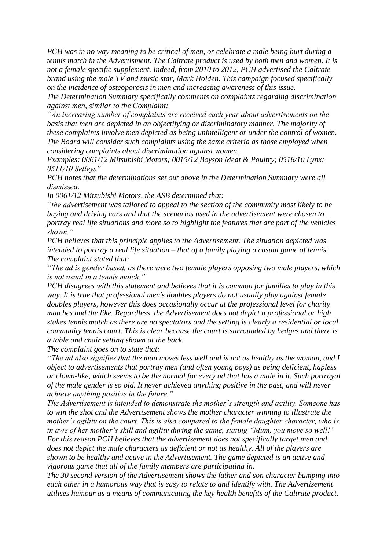*PCH was in no way meaning to be critical of men, or celebrate a male being hurt during a tennis match in the Advertisment. The Caltrate product is used by both men and women. It is not a female specific supplement. Indeed, from 2010 to 2012, PCH advertised the Caltrate brand using the male TV and music star, Mark Holden. This campaign focused specifically on the incidence of osteoporosis in men and increasing awareness of this issue.*

*The Determination Summary specifically comments on complaints regarding discrimination against men, similar to the Complaint:*

*"An increasing number of complaints are received each year about advertisements on the basis that men are depicted in an objectifying or discriminatory manner. The majority of these complaints involve men depicted as being unintelligent or under the control of women. The Board will consider such complaints using the same criteria as those employed when considering complaints about discrimination against women.*

*Examples: 0061/12 Mitsubishi Motors; 0015/12 Boyson Meat & Poultry; 0518/10 Lynx; 0511/10 Selleys"*

*PCH notes that the determinations set out above in the Determination Summary were all dismissed.*

*In 0061/12 Mitsubishi Motors, the ASB determined that:*

*"the advertisement was tailored to appeal to the section of the community most likely to be buying and driving cars and that the scenarios used in the advertisement were chosen to portray real life situations and more so to highlight the features that are part of the vehicles shown."*

*PCH believes that this principle applies to the Advertisement. The situation depicted was intended to portray a real life situation – that of a family playing a casual game of tennis. The complaint stated that:*

*"The ad is gender based, as there were two female players opposing two male players, which is not usual in a tennis match."*

*PCH disagrees with this statement and believes that it is common for families to play in this way. It is true that professional men's doubles players do not usually play against female doubles players, however this does occasionally occur at the professional level for charity matches and the like. Regardless, the Advertisement does not depict a professional or high stakes tennis match as there are no spectators and the setting is clearly a residential or local community tennis court. This is clear because the court is surrounded by hedges and there is a table and chair setting shown at the back.*

*The complaint goes on to state that:*

*"The ad also signifies that the man moves less well and is not as healthy as the woman, and I object to advertisements that portray men (and often young boys) as being deficient, hapless or clown-like, which seems to be the normal for every ad that has a male in it. Such portrayal of the male gender is so old. It never achieved anything positive in the past, and will never achieve anything positive in the future."*

*The Advertisement is intended to demonstrate the mother"s strength and agility. Someone has to win the shot and the Advertisement shows the mother character winning to illustrate the mother"s agility on the court. This is also compared to the female daughter character, who is in awe of her mother"s skill and agility during the game, stating "Mum, you move so well!" For this reason PCH believes that the advertisement does not specifically target men and does not depict the male characters as deficient or not as healthy. All of the players are shown to be healthy and active in the Advertisement. The game depicted is an active and vigorous game that all of the family members are participating in.*

*The 30 second version of the Advertisement shows the father and son character bumping into each other in a humorous way that is easy to relate to and identify with. The Advertisement utilises humour as a means of communicating the key health benefits of the Caltrate product.*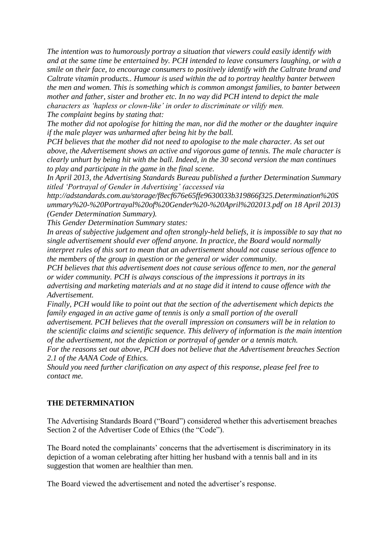*The intention was to humorously portray a situation that viewers could easily identify with and at the same time be entertained by. PCH intended to leave consumers laughing, or with a smile on their face, to encourage consumers to positively identify with the Caltrate brand and Caltrate vitamin products.. Humour is used within the ad to portray healthy banter between the men and women. This is something which is common amongst families, to banter between mother and father, sister and brother etc. In no way did PCH intend to depict the male characters as "hapless or clown-like" in order to discriminate or vilify men.*

*The complaint begins by stating that:*

*The mother did not apologise for hitting the man, nor did the mother or the daughter inquire if the male player was unharmed after being hit by the ball.*

*PCH believes that the mother did not need to apologise to the male character. As set out above, the Advertisement shows an active and vigorous game of tennis. The male character is clearly unhurt by being hit with the ball. Indeed, in the 30 second version the man continues to play and participate in the game in the final scene.*

*In April 2013, the Advertising Standards Bureau published a further Determination Summary titled "Portrayal of Gender in Advertising" (accessed via* 

*http://adstandards.com.au/storage/f8ecf676e65ffe9630033b319866f325.Determination%20S ummary%20-%20Portrayal%20of%20Gender%20-%20April%202013.pdf on 18 April 2013) (Gender Determination Summary).*

*This Gender Determination Summary states:*

*In areas of subjective judgement and often strongly-held beliefs, it is impossible to say that no single advertisement should ever offend anyone. In practice, the Board would normally interpret rules of this sort to mean that an advertisement should not cause serious offence to the members of the group in question or the general or wider community.*

*PCH believes that this advertisement does not cause serious offence to men, nor the general or wider community. PCH is always conscious of the impressions it portrays in its advertising and marketing materials and at no stage did it intend to cause offence with the Advertisement.*

*Finally, PCH would like to point out that the section of the advertisement which depicts the family engaged in an active game of tennis is only a small portion of the overall* 

*advertisement. PCH believes that the overall impression on consumers will be in relation to the scientific claims and scientific sequence. This delivery of information is the main intention of the advertisement, not the depiction or portrayal of gender or a tennis match.*

*For the reasons set out above, PCH does not believe that the Advertisement breaches Section 2.1 of the AANA Code of Ethics.*

*Should you need further clarification on any aspect of this response, please feel free to contact me.*

#### **THE DETERMINATION**

The Advertising Standards Board ("Board") considered whether this advertisement breaches Section 2 of the Advertiser Code of Ethics (the "Code").

The Board noted the complainants' concerns that the advertisement is discriminatory in its depiction of a woman celebrating after hitting her husband with a tennis ball and in its suggestion that women are healthier than men.

The Board viewed the advertisement and noted the advertiser's response.